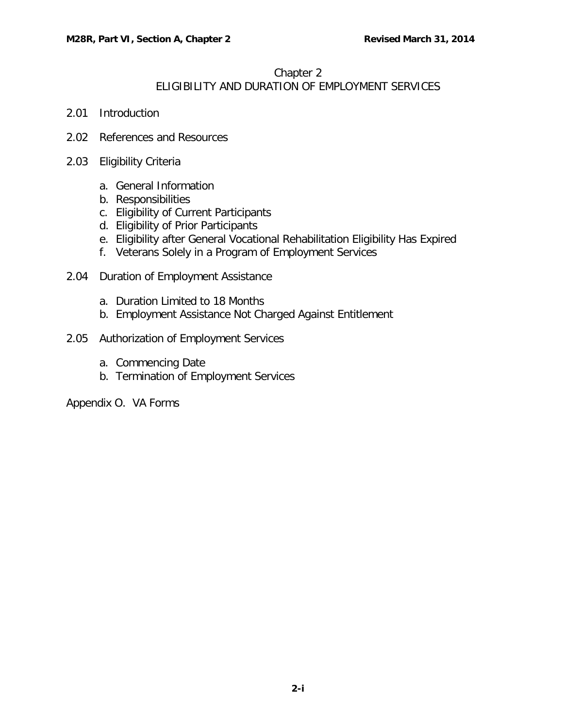## Chapter 2 ELIGIBILITY AND DURATION OF EMPLOYMENT SERVICES

- 2.01 [Introduction](#page-1-0)
- 2.02 [References and Resources](#page-1-1)
- 2.03 [Eligibility Criteria](#page-1-2)
	- a. [General Information](#page-1-3)
	- b. [Responsibilities](#page-2-0)
	- c. [Eligibility of Current Participants](#page-2-1)
	- d. [Eligibility of Prior Participants](#page-3-0)
	- e. [Eligibility after General Vocational Rehabilitation Eligibility Has Expired](#page-4-0)
	- f. [Veterans Solely in a Program of Employment Services](#page-5-0)
- 2.04 [Duration of Employment Assistance](#page-5-1)
	- a. [Duration Limited to 18 Months](#page-5-2)
	- b. [Employment Assistance Not Charged Against Entitlement](#page-6-0)
- 2.05 [Authorization of Employment Services](#page-6-1)
	- a. [Commencing Date](#page-6-2)
	- b. [Termination of Employment Services](#page-7-0)

Appendix O. VA Forms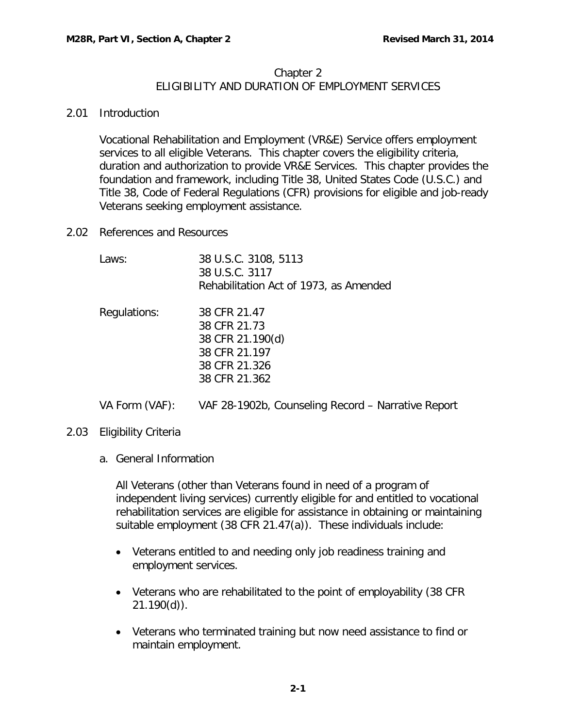## Chapter 2 ELIGIBILITY AND DURATION OF EMPLOYMENT SERVICES

## <span id="page-1-0"></span>2.01 Introduction

Vocational Rehabilitation and Employment (VR&E) Service offers employment services to all eligible Veterans. This chapter covers the eligibility criteria, duration and authorization to provide VR&E Services. This chapter provides the foundation and framework, including Title 38, United States Code (U.S.C.) and Title 38, Code of Federal Regulations (CFR) provisions for eligible and job-ready Veterans seeking employment assistance.

<span id="page-1-1"></span>2.02 References and Resources

| Laws:          | 38 U.S.C. 3108, 5113<br>38 U.S.C. 3117<br>Rehabilitation Act of 1973, as Amended                    |
|----------------|-----------------------------------------------------------------------------------------------------|
| Regulations:   | 38 CFR 21.47<br>38 CFR 21.73<br>38 CFR 21.190(d)<br>38 CFR 21.197<br>38 CFR 21.326<br>38 CFR 21.362 |
| VA Form (VAF): | VAF 28-1902b, Counseling Record – Narrative Report                                                  |

- <span id="page-1-3"></span><span id="page-1-2"></span>2.03 Eligibility Criteria
	- a. General Information

All Veterans (other than Veterans found in need of a program of independent living services) currently eligible for and entitled to vocational rehabilitation services are eligible for assistance in obtaining or maintaining suitable employment (38 CFR 21.47(a)). These individuals include:

- Veterans entitled to and needing only job readiness training and employment services.
- Veterans who are rehabilitated to the point of employability (38 CFR 21.190(d)).
- Veterans who terminated training but now need assistance to find or maintain employment.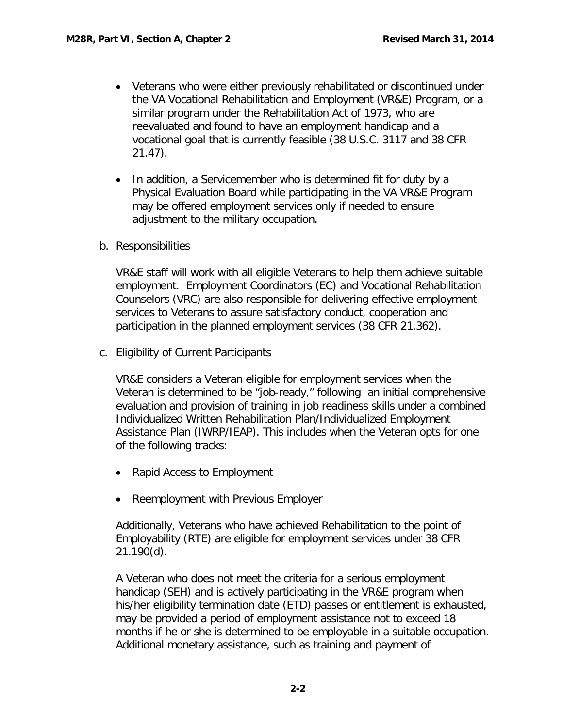- Veterans who were either previously rehabilitated or discontinued under the VA Vocational Rehabilitation and Employment (VR&E) Program, or a similar program under the Rehabilitation Act of 1973, who are reevaluated and found to have an employment handicap and a vocational goal that is currently feasible (38 U.S.C. 3117 and 38 CFR 21.47).
- In addition, a Servicemember who is determined fit for duty by a Physical Evaluation Board while participating in the VA VR&E Program may be offered employment services only if needed to ensure adjustment to the military occupation.
- <span id="page-2-0"></span>b. Responsibilities

VR&E staff will work with all eligible Veterans to help them achieve suitable employment. Employment Coordinators (EC) and Vocational Rehabilitation Counselors (VRC) are also responsible for delivering effective employment services to Veterans to assure satisfactory conduct, cooperation and participation in the planned employment services (38 CFR 21.362).

<span id="page-2-1"></span>c. Eligibility of Current Participants

VR&E considers a Veteran eligible for employment services when the Veteran is determined to be "job-ready," following an initial comprehensive evaluation and provision of training in job readiness skills under a combined Individualized Written Rehabilitation Plan/Individualized Employment Assistance Plan (IWRP/IEAP). This includes when the Veteran opts for one of the following tracks:

- Rapid Access to Employment
- Reemployment with Previous Employer

Additionally, Veterans who have achieved Rehabilitation to the point of Employability (RTE) are eligible for employment services under 38 CFR 21.190(d).

A Veteran who does not meet the criteria for a serious employment handicap (SEH) and is actively participating in the VR&E program when his/her eligibility termination date (ETD) passes or entitlement is exhausted, may be provided a period of employment assistance not to exceed 18 months if he or she is determined to be employable in a suitable occupation. Additional monetary assistance, such as training and payment of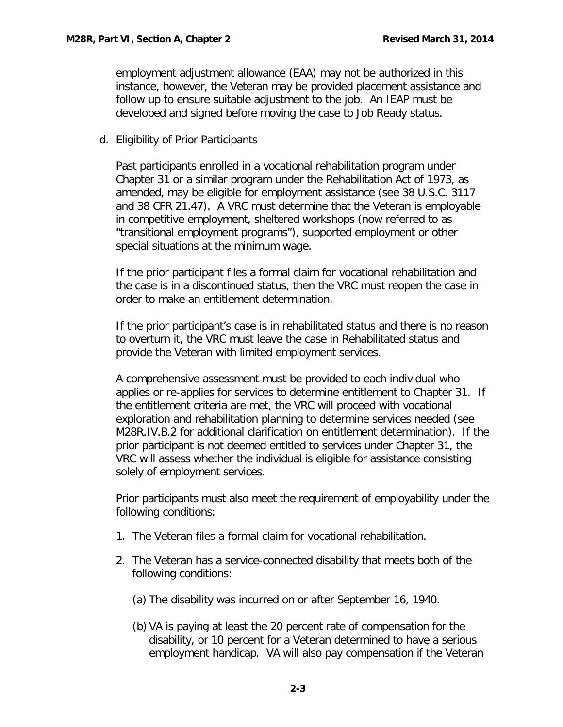employment adjustment allowance (EAA) may not be authorized in this instance, however, the Veteran may be provided placement assistance and follow up to ensure suitable adjustment to the job. An IEAP must be developed and signed before moving the case to Job Ready status.

<span id="page-3-0"></span>d. Eligibility of Prior Participants

Past participants enrolled in a vocational rehabilitation program under Chapter 31 or a similar program under the Rehabilitation Act of 1973, as amended, may be eligible for employment assistance (see 38 U.S.C. 3117 and 38 CFR 21.47). A VRC must determine that the Veteran is employable in competitive employment, sheltered workshops (now referred to as "transitional employment programs"), supported employment or other special situations at the minimum wage.

If the prior participant files a formal claim for vocational rehabilitation and the case is in a discontinued status, then the VRC must reopen the case in order to make an entitlement determination.

If the prior participant's case is in rehabilitated status and there is no reason to overturn it, the VRC must leave the case in Rehabilitated status and provide the Veteran with limited employment services.

A comprehensive assessment must be provided to each individual who applies or re-applies for services to determine entitlement to Chapter 31. If the entitlement criteria are met, the VRC will proceed with vocational exploration and rehabilitation planning to determine services needed (see M28R.IV.B.2 for additional clarification on entitlement determination). If the prior participant is not deemed entitled to services under Chapter 31, the VRC will assess whether the individual is eligible for assistance consisting solely of employment services.

Prior participants must also meet the requirement of employability under the following conditions:

- 1. The Veteran files a formal claim for vocational rehabilitation.
- 2. The Veteran has a service-connected disability that meets both of the following conditions:
	- (a) The disability was incurred on or after September 16, 1940.
	- (b) VA is paying at least the 20 percent rate of compensation for the disability, or 10 percent for a Veteran determined to have a serious employment handicap. VA will also pay compensation if the Veteran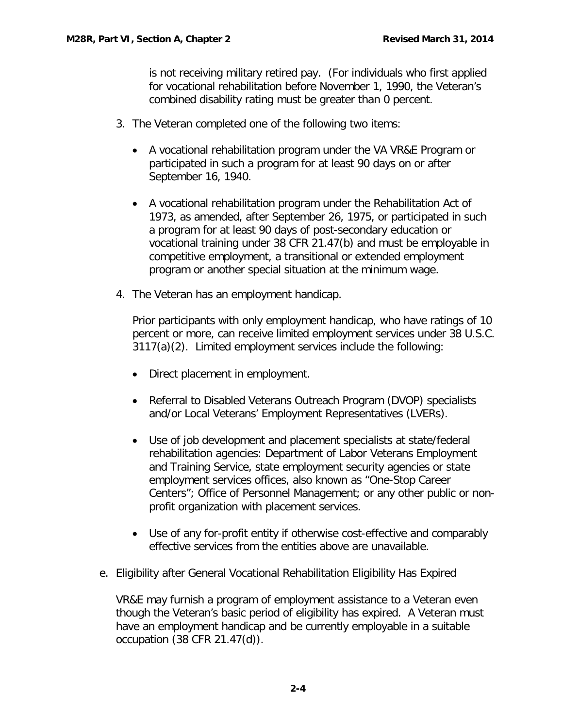is not receiving military retired pay. (For individuals who first applied for vocational rehabilitation before November 1, 1990, the Veteran's combined disability rating must be greater than 0 percent.

- 3. The Veteran completed one of the following two items:
	- A vocational rehabilitation program under the VA VR&E Program or participated in such a program for at least 90 days on or after September 16, 1940.
	- A vocational rehabilitation program under the Rehabilitation Act of 1973, as amended, after September 26, 1975, or participated in such a program for at least 90 days of post-secondary education or vocational training under 38 CFR 21.47(b) and must be employable in competitive employment, a transitional or extended employment program or another special situation at the minimum wage.
- 4. The Veteran has an employment handicap.

Prior participants with only employment handicap, who have ratings of 10 percent or more, can receive limited employment services under 38 U.S.C. 3117(a)(2). Limited employment services include the following:

- Direct placement in employment.
- Referral to Disabled Veterans Outreach Program (DVOP) specialists and/or Local Veterans' Employment Representatives (LVERs).
- Use of job development and placement specialists at state/federal rehabilitation agencies: Department of Labor Veterans Employment and Training Service, state employment security agencies or state employment services offices, also known as "One-Stop Career Centers"; Office of Personnel Management; or any other public or nonprofit organization with placement services.
- Use of any for-profit entity if otherwise cost-effective and comparably effective services from the entities above are unavailable.
- <span id="page-4-0"></span>e. Eligibility after General Vocational Rehabilitation Eligibility Has Expired

VR&E may furnish a program of employment assistance to a Veteran even though the Veteran's basic period of eligibility has expired. A Veteran must have an employment handicap and be currently employable in a suitable occupation (38 CFR 21.47(d)).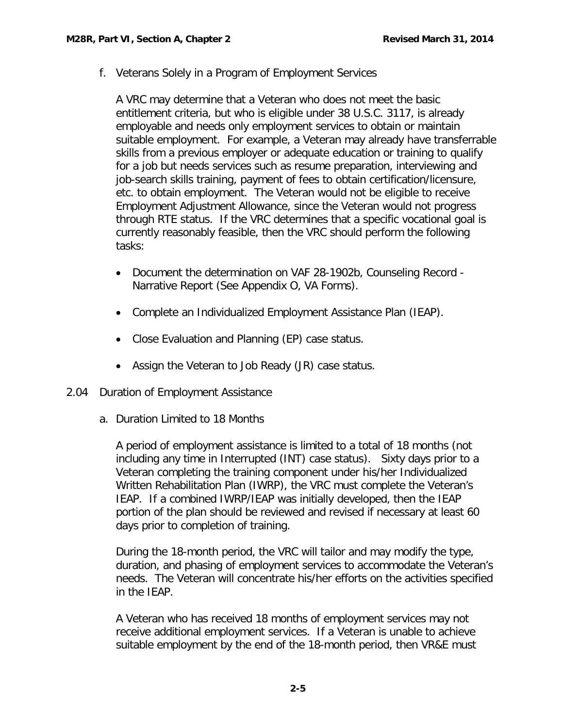<span id="page-5-0"></span>f. Veterans Solely in a Program of Employment Services

A VRC may determine that a Veteran who does not meet the basic entitlement criteria, but who is eligible under 38 U.S.C. 3117, is already employable and needs only employment services to obtain or maintain suitable employment. For example, a Veteran may already have transferrable skills from a previous employer or adequate education or training to qualify for a job but needs services such as resume preparation, interviewing and job-search skills training, payment of fees to obtain certification/licensure, etc. to obtain employment. The Veteran would not be eligible to receive Employment Adjustment Allowance, since the Veteran would not progress through RTE status. If the VRC determines that a specific vocational goal is currently reasonably feasible, then the VRC should perform the following tasks:

- Document the determination on VAF 28-1902b, Counseling Record Narrative Report (See Appendix O, VA Forms).
- Complete an Individualized Employment Assistance Plan (IEAP).
- Close Evaluation and Planning (EP) case status.
- Assign the Veteran to Job Ready (JR) case status.
- <span id="page-5-2"></span><span id="page-5-1"></span>2.04 Duration of Employment Assistance
	- a. Duration Limited to 18 Months

A period of employment assistance is limited to a total of 18 months (not including any time in Interrupted (INT) case status). Sixty days prior to a Veteran completing the training component under his/her Individualized Written Rehabilitation Plan (IWRP), the VRC must complete the Veteran's IEAP. If a combined IWRP/IEAP was initially developed, then the IEAP portion of the plan should be reviewed and revised if necessary at least 60 days prior to completion of training.

During the 18-month period, the VRC will tailor and may modify the type, duration, and phasing of employment services to accommodate the Veteran's needs. The Veteran will concentrate his/her efforts on the activities specified in the IEAP.

A Veteran who has received 18 months of employment services may not receive additional employment services. If a Veteran is unable to achieve suitable employment by the end of the 18-month period, then VR&E must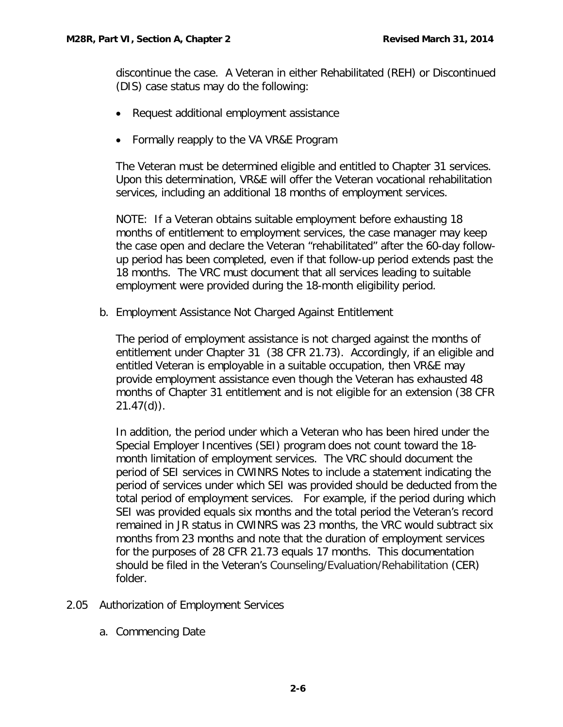discontinue the case. A Veteran in either Rehabilitated (REH) or Discontinued (DIS) case status may do the following:

- Request additional employment assistance
- Formally reapply to the VA VR&E Program

The Veteran must be determined eligible and entitled to Chapter 31 services. Upon this determination, VR&E will offer the Veteran vocational rehabilitation services, including an additional 18 months of employment services.

NOTE: If a Veteran obtains suitable employment before exhausting 18 months of entitlement to employment services, the case manager may keep the case open and declare the Veteran "rehabilitated" after the 60-day followup period has been completed, even if that follow-up period extends past the 18 months. The VRC must document that all services leading to suitable employment were provided during the 18-month eligibility period.

<span id="page-6-0"></span>b. Employment Assistance Not Charged Against Entitlement

The period of employment assistance is not charged against the months of entitlement under Chapter 31 (38 CFR 21.73). Accordingly, if an eligible and entitled Veteran is employable in a suitable occupation, then VR&E may provide employment assistance even though the Veteran has exhausted 48 months of Chapter 31 entitlement and is not eligible for an extension (38 CFR 21.47(d)).

In addition, the period under which a Veteran who has been hired under the Special Employer Incentives (SEI) program does not count toward the 18 month limitation of employment services. The VRC should document the period of SEI services in CWINRS Notes to include a statement indicating the period of services under which SEI was provided should be deducted from the total period of employment services. For example, if the period during which SEI was provided equals six months and the total period the Veteran's record remained in JR status in CWINRS was 23 months, the VRC would subtract six months from 23 months and note that the duration of employment services for the purposes of 28 CFR 21.73 equals 17 months. This documentation should be filed in the Veteran's Counseling/Evaluation/Rehabilitation (CER) folder.

- <span id="page-6-2"></span><span id="page-6-1"></span>2.05 Authorization of Employment Services
	- a. Commencing Date